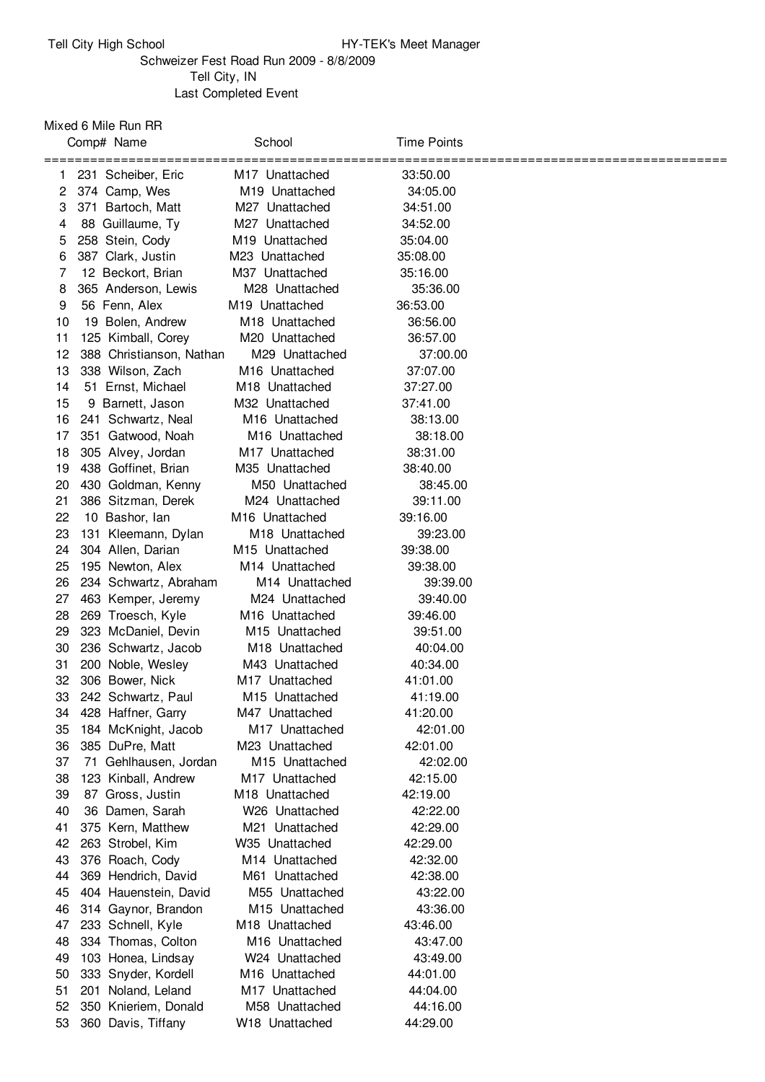## Schweizer Fest Road Run 2009 - 8/8/2009 Tell City, IN Last Completed Event

Mixed 6 Mile Run RR

|       | Comp# Name                | School                     | <b>Time Points</b> |             |
|-------|---------------------------|----------------------------|--------------------|-------------|
| ===== | 231 Scheiber, Eric        | M <sub>17</sub> Unattached | 33:50.00           | =========== |
| 2     | 374 Camp, Wes             | M <sub>19</sub> Unattached | 34:05.00           |             |
| 3     | 371 Bartoch, Matt         | M27 Unattached             | 34:51.00           |             |
| 4     | 88 Guillaume, Ty          | M27 Unattached             | 34:52.00           |             |
| 5     | 258 Stein, Cody           | M <sub>19</sub> Unattached | 35:04.00           |             |
| 6     | 387 Clark, Justin         | M23 Unattached             | 35:08.00           |             |
| 7     | 12 Beckort, Brian         | M37 Unattached             | 35:16.00           |             |
| 8     | 365 Anderson, Lewis       | M28 Unattached             | 35:36.00           |             |
| 9     | 56 Fenn, Alex             | M <sub>19</sub> Unattached | 36:53.00           |             |
| 10    | 19 Bolen, Andrew          | M <sub>18</sub> Unattached | 36:56.00           |             |
| 11    | 125 Kimball, Corey        | M <sub>20</sub> Unattached | 36:57.00           |             |
| 12    | 388 Christianson, Nathan  | M29 Unattached             | 37:00.00           |             |
| 13    | 338 Wilson, Zach          | M <sub>16</sub> Unattached | 37:07.00           |             |
| 14    | 51 Ernst, Michael         | M <sub>18</sub> Unattached | 37:27.00           |             |
| 15    | 9 Barnett, Jason          | M32 Unattached             | 37:41.00           |             |
| 16    | 241 Schwartz, Neal        | M16 Unattached             | 38:13.00           |             |
| 17    | 351 Gatwood, Noah         | M16 Unattached             | 38:18.00           |             |
| 18    | 305 Alvey, Jordan         | M <sub>17</sub> Unattached | 38:31.00           |             |
| 19    | 438 Goffinet, Brian       | M35 Unattached             | 38:40.00           |             |
| 20    | 430 Goldman, Kenny        | M50 Unattached             | 38:45.00           |             |
| 21    | 386 Sitzman, Derek        | M24 Unattached             | 39:11.00           |             |
| 22    | 10 Bashor, Ian            | M <sub>16</sub> Unattached | 39:16.00           |             |
| 23    | 131 Kleemann, Dylan       | M <sub>18</sub> Unattached | 39:23.00           |             |
| 24    | 304 Allen, Darian         | M15 Unattached             | 39:38.00           |             |
| 25    | 195 Newton, Alex          | M14 Unattached             | 39:38.00           |             |
| 26    | 234 Schwartz, Abraham     | M14 Unattached             | 39:39.00           |             |
| 27    | 463 Kemper, Jeremy        | M24 Unattached             | 39:40.00           |             |
| 28    | 269 Troesch, Kyle         | M <sub>16</sub> Unattached | 39:46.00           |             |
| 29    | 323 McDaniel, Devin       | M <sub>15</sub> Unattached | 39:51.00           |             |
| 30    | 236 Schwartz, Jacob       | M <sub>18</sub> Unattached | 40:04.00           |             |
| 31    | 200 Noble, Wesley         | M43 Unattached             | 40:34.00           |             |
| 32    | 306 Bower, Nick           | M17 Unattached             | 41:01.00           |             |
| 33    | 242 Schwartz, Paul        | M <sub>15</sub> Unattached | 41:19.00           |             |
| 34    | 428 Haffner, Garry        | M47 Unattached             | 41:20.00           |             |
| 35    | 184 McKnight, Jacob       | M <sub>17</sub> Unattached | 42:01.00           |             |
| 36    | 385 DuPre, Matt           | M23 Unattached             | 42:01.00           |             |
| 37    | Gehlhausen, Jordan<br>71. | M <sub>15</sub> Unattached | 42:02.00           |             |
| 38    | 123 Kinball, Andrew       | M <sub>17</sub> Unattached | 42:15.00           |             |
| 39    | 87 Gross, Justin          | M <sub>18</sub> Unattached | 42:19.00           |             |
| 40    | 36 Damen, Sarah           | W26 Unattached             | 42:22.00           |             |
| 41    | 375 Kern, Matthew         | M21 Unattached             | 42:29.00           |             |
| 42    | 263 Strobel, Kim          | W35 Unattached             | 42:29.00           |             |
| 43    | 376 Roach, Cody           | M <sub>14</sub> Unattached | 42:32.00           |             |
| 44    | 369 Hendrich, David       | M61 Unattached             | 42:38.00           |             |
| 45    | 404 Hauenstein, David     | M55 Unattached             | 43:22.00           |             |
| 46    | 314 Gaynor, Brandon       | M15 Unattached             | 43:36.00           |             |
| 47    | 233 Schnell, Kyle         | M <sub>18</sub> Unattached | 43:46.00           |             |
| 48    | 334 Thomas, Colton        | M <sub>16</sub> Unattached | 43:47.00           |             |
| 49    | 103 Honea, Lindsay        | W24 Unattached             | 43:49.00           |             |
| 50    | 333 Snyder, Kordell       | M <sub>16</sub> Unattached | 44:01.00           |             |
| 51    | 201 Noland, Leland        | M <sub>17</sub> Unattached | 44:04.00           |             |
| 52    | 350 Knieriem, Donald      | M58 Unattached             | 44:16.00           |             |
| 53    | 360 Davis, Tiffany        | W18 Unattached             | 44:29.00           |             |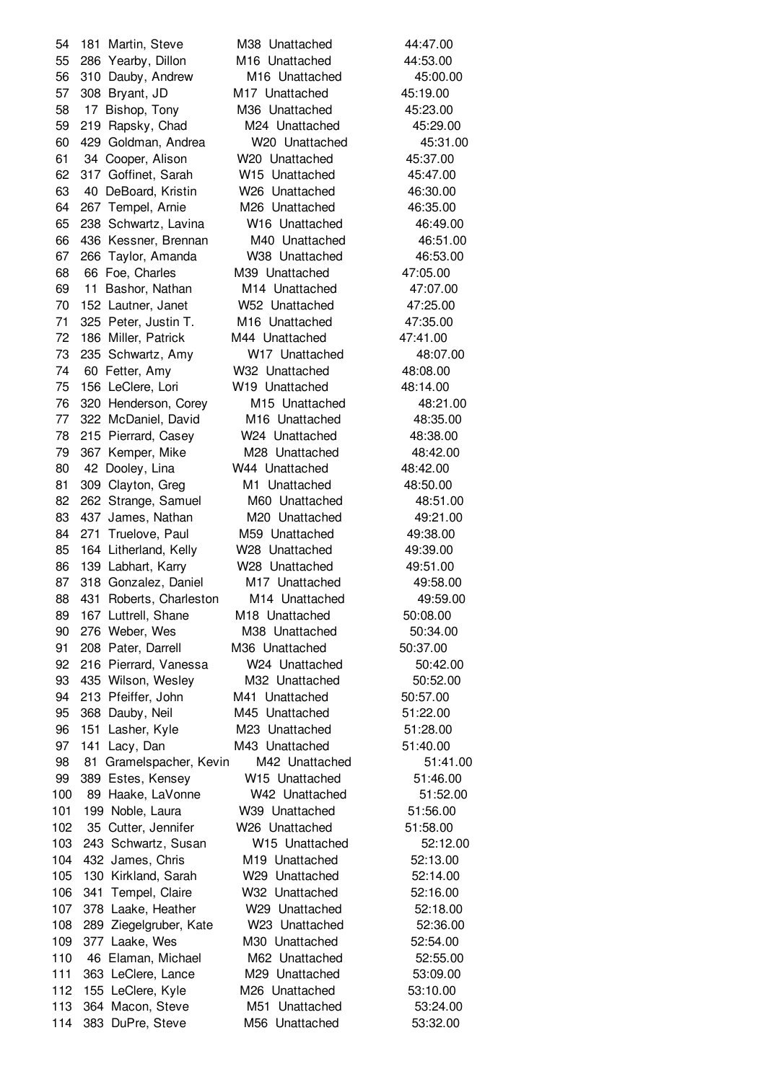181 Martin, Steve M38 Unattached 44:47.00 286 Yearby, Dillon M16 Unattached 44:53.00 310 Dauby, Andrew M16 Unattached 45:00.00 308 Bryant, JD M17 Unattached 45:19.00 17 Bishop, Tony M36 Unattached 45:23.00 219 Rapsky, Chad M24 Unattached 45:29.00 429 Goldman, Andrea W20 Unattached 45:31.00 34 Cooper, Alison W20 Unattached 45:37.00 317 Goffinet, Sarah W15 Unattached 45:47.00 40 DeBoard, Kristin W26 Unattached 46:30.00 267 Tempel, Arnie M26 Unattached 46:35.00 238 Schwartz, Lavina W16 Unattached 46:49.00 436 Kessner, Brennan M40 Unattached 46:51.00 266 Taylor, Amanda W38 Unattached 46:53.00 66 Foe, Charles M39 Unattached 47:05.00 11 Bashor, Nathan M14 Unattached 47:07.00 152 Lautner, Janet W52 Unattached 47:25.00 325 Peter, Justin T. M16 Unattached 47:35.00 186 Miller, Patrick M44 Unattached 47:41.00 235 Schwartz, Amy W17 Unattached 48:07.00 60 Fetter, Amy W32 Unattached 48:08.00 156 LeClere, Lori W19 Unattached 48:14.00 320 Henderson, Corey M15 Unattached 48:21.00 322 McDaniel, David M16 Unattached 48:35.00 215 Pierrard, Casey W24 Unattached 48:38.00 79 367 Kemper, Mike M28 Unattached 48:42.00 42 Dooley, Lina W44 Unattached 48:42.00 81 309 Clayton, Greg M1 Unattached 48:50.00 262 Strange, Samuel M60 Unattached 48:51.00 83 437 James, Nathan M20 Unattached 49:21.00 84 271 Truelove, Paul M59 Unattached 49:38.00 164 Litherland, Kelly W28 Unattached 49:39.00 139 Labhart, Karry W28 Unattached 49:51.00 87 318 Gonzalez, Daniel M17 Unattached 49:58.00 88 431 Roberts, Charleston M14 Unattached 49:59.00 89 167 Luttrell, Shane M18 Unattached 50:08.00 276 Weber, Wes M38 Unattached 50:34.00 208 Pater, Darrell M36 Unattached 50:37.00 92 216 Pierrard, Vanessa W24 Unattached 50:42.00 435 Wilson, Wesley M32 Unattached 50:52.00 94 213 Pfeiffer, John M41 Unattached 50:57.00 368 Dauby, Neil M45 Unattached 51:22.00 151 Lasher, Kyle M23 Unattached 51:28.00 141 Lacy, Dan M43 Unattached 51:40.00 81 Gramelspacher, Kevin M42 Unattached 51:41.00 389 Estes, Kensey W15 Unattached 51:46.00 89 Haake, LaVonne W42 Unattached 51:52.00 199 Noble, Laura W39 Unattached 51:56.00 35 Cutter, Jennifer W26 Unattached 51:58.00 243 Schwartz, Susan W15 Unattached 52:12.00 104 432 James, Chris M19 Unattached 52:13.00 130 Kirkland, Sarah W29 Unattached 52:14.00 341 Tempel, Claire W32 Unattached 52:16.00 378 Laake, Heather W29 Unattached 52:18.00 289 Ziegelgruber, Kate W23 Unattached 52:36.00 109 377 Laake, Wes M30 Unattached 52:54.00 46 Elaman, Michael M62 Unattached 52:55.00 363 LeClere, Lance M29 Unattached 53:09.00 155 LeClere, Kyle M26 Unattached 53:10.00 364 Macon, Steve M51 Unattached 53:24.00 383 DuPre, Steve M56 Unattached 53:32.00